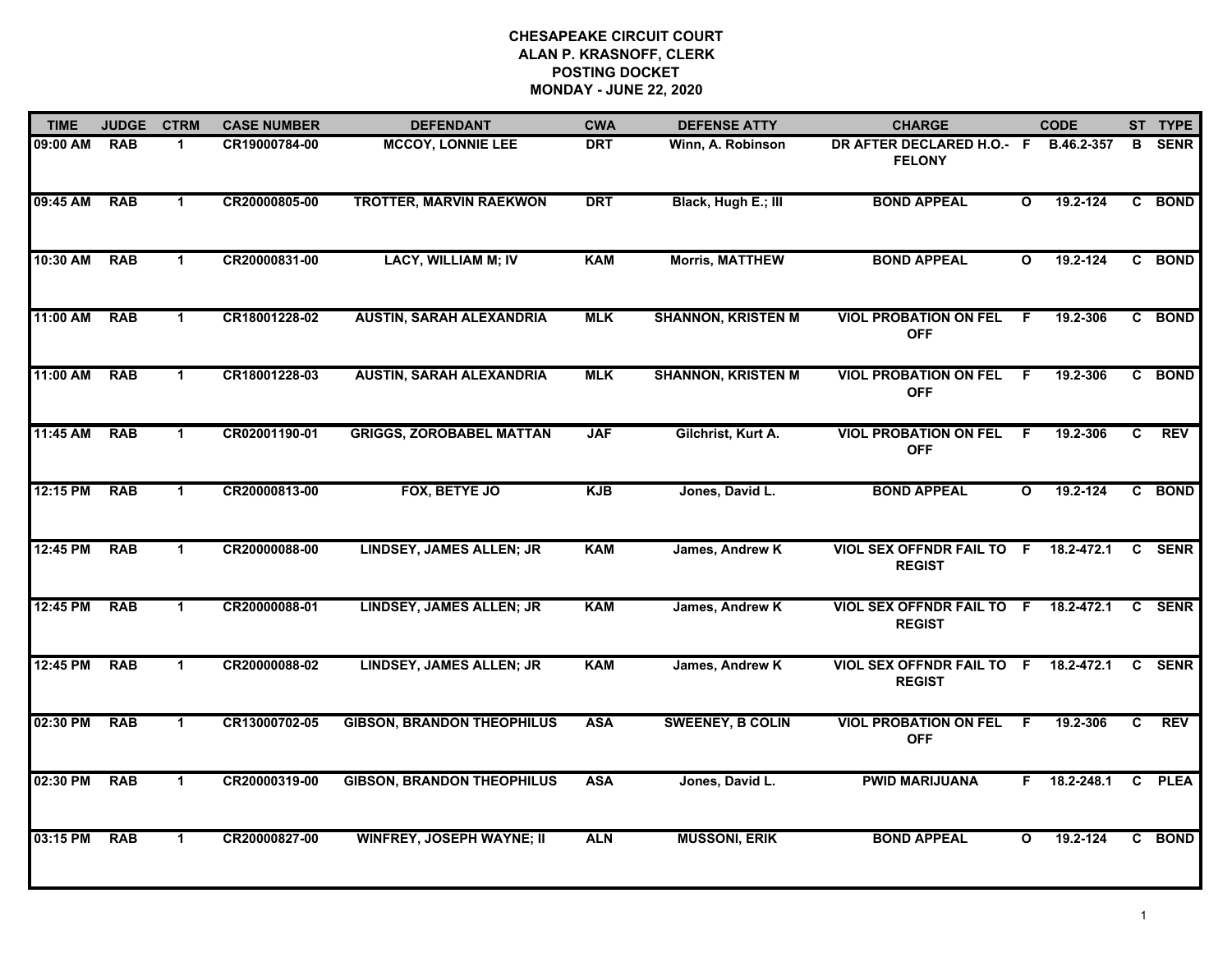| <b>TIME</b> | <b>JUDGE</b> | <b>CTRM</b>  | <b>CASE NUMBER</b> | <b>DEFENDANT</b>                  | <b>CWA</b> | <b>DEFENSE ATTY</b>       | <b>CHARGE</b>                                     |              | <b>CODE</b> |              | ST TYPE     |
|-------------|--------------|--------------|--------------------|-----------------------------------|------------|---------------------------|---------------------------------------------------|--------------|-------------|--------------|-------------|
| 09:00 AM    | <b>RAB</b>   | 1.           | CR19000784-00      | <b>MCCOY, LONNIE LEE</b>          | <b>DRT</b> | Winn, A. Robinson         | DR AFTER DECLARED H.O.- F<br><b>FELONY</b>        |              | B.46.2-357  | B            | <b>SENR</b> |
| 09:45 AM    | <b>RAB</b>   | $\mathbf 1$  | CR20000805-00      | <b>TROTTER, MARVIN RAEKWON</b>    | <b>DRT</b> | Black, Hugh E.; III       | <b>BOND APPEAL</b>                                | $\mathbf{o}$ | 19.2-124    |              | C BOND      |
| 10:30 AM    | <b>RAB</b>   | 1            | CR20000831-00      | <b>LACY, WILLIAM M; IV</b>        | <b>KAM</b> | <b>Morris, MATTHEW</b>    | <b>BOND APPEAL</b>                                | $\mathbf{o}$ | 19.2-124    |              | C BOND      |
| 11:00 AM    | <b>RAB</b>   | 1            | CR18001228-02      | <b>AUSTIN, SARAH ALEXANDRIA</b>   | <b>MLK</b> | <b>SHANNON, KRISTEN M</b> | <b>VIOL PROBATION ON FEL</b><br><b>OFF</b>        | - F          | 19.2-306    |              | C BOND      |
| 11:00 AM    | <b>RAB</b>   | $\mathbf 1$  | CR18001228-03      | <b>AUSTIN, SARAH ALEXANDRIA</b>   | <b>MLK</b> | <b>SHANNON, KRISTEN M</b> | <b>VIOL PROBATION ON FEL</b><br><b>OFF</b>        | -F           | 19.2-306    |              | C BOND      |
| 11:45 AM    | <b>RAB</b>   | $\mathbf 1$  | CR02001190-01      | <b>GRIGGS, ZOROBABEL MATTAN</b>   | <b>JAF</b> | Gilchrist, Kurt A.        | <b>VIOL PROBATION ON FEL</b><br><b>OFF</b>        | F.           | 19.2-306    | C            | <b>REV</b>  |
| 12:15 PM    | <b>RAB</b>   | $\mathbf 1$  | CR20000813-00      | FOX, BETYE JO                     | <b>KJB</b> | Jones, David L.           | <b>BOND APPEAL</b>                                | $\mathbf{o}$ | 19.2-124    |              | C BOND      |
| 12:45 PM    | <b>RAB</b>   | $\mathbf{1}$ | CR20000088-00      | <b>LINDSEY, JAMES ALLEN; JR</b>   | <b>KAM</b> | James, Andrew K           | <b>VIOL SEX OFFNDR FAIL TO F</b><br><b>REGIST</b> |              | 18.2-472.1  | C.           | <b>SENR</b> |
| 12:45 PM    | <b>RAB</b>   | 1            | CR20000088-01      | <b>LINDSEY, JAMES ALLEN; JR</b>   | <b>KAM</b> | James, Andrew K           | <b>VIOL SEX OFFNDR FAIL TO F</b><br><b>REGIST</b> |              | 18.2-472.1  | $\mathbf{c}$ | <b>SENR</b> |
| 12:45 PM    | <b>RAB</b>   | $\mathbf 1$  | CR20000088-02      | LINDSEY, JAMES ALLEN; JR          | <b>KAM</b> | James, Andrew K           | <b>VIOL SEX OFFNDR FAIL TO F</b><br><b>REGIST</b> |              | 18.2-472.1  | $\mathbf{c}$ | <b>SENR</b> |
| 02:30 PM    | <b>RAB</b>   | $\mathbf 1$  | CR13000702-05      | <b>GIBSON, BRANDON THEOPHILUS</b> | <b>ASA</b> | <b>SWEENEY, B COLIN</b>   | <b>VIOL PROBATION ON FEL</b><br><b>OFF</b>        | F.           | 19.2-306    | C            | <b>REV</b>  |
| 02:30 PM    | <b>RAB</b>   | $\mathbf 1$  | CR20000319-00      | <b>GIBSON, BRANDON THEOPHILUS</b> | <b>ASA</b> | Jones, David L.           | <b>PWID MARIJUANA</b>                             | F.           | 18.2-248.1  |              | C PLEA      |
| 03:15 PM    | <b>RAB</b>   | $\mathbf 1$  | CR20000827-00      | <b>WINFREY, JOSEPH WAYNE; II</b>  | <b>ALN</b> | <b>MUSSONI, ERIK</b>      | <b>BOND APPEAL</b>                                | $\mathbf{o}$ | 19.2-124    |              | C BOND      |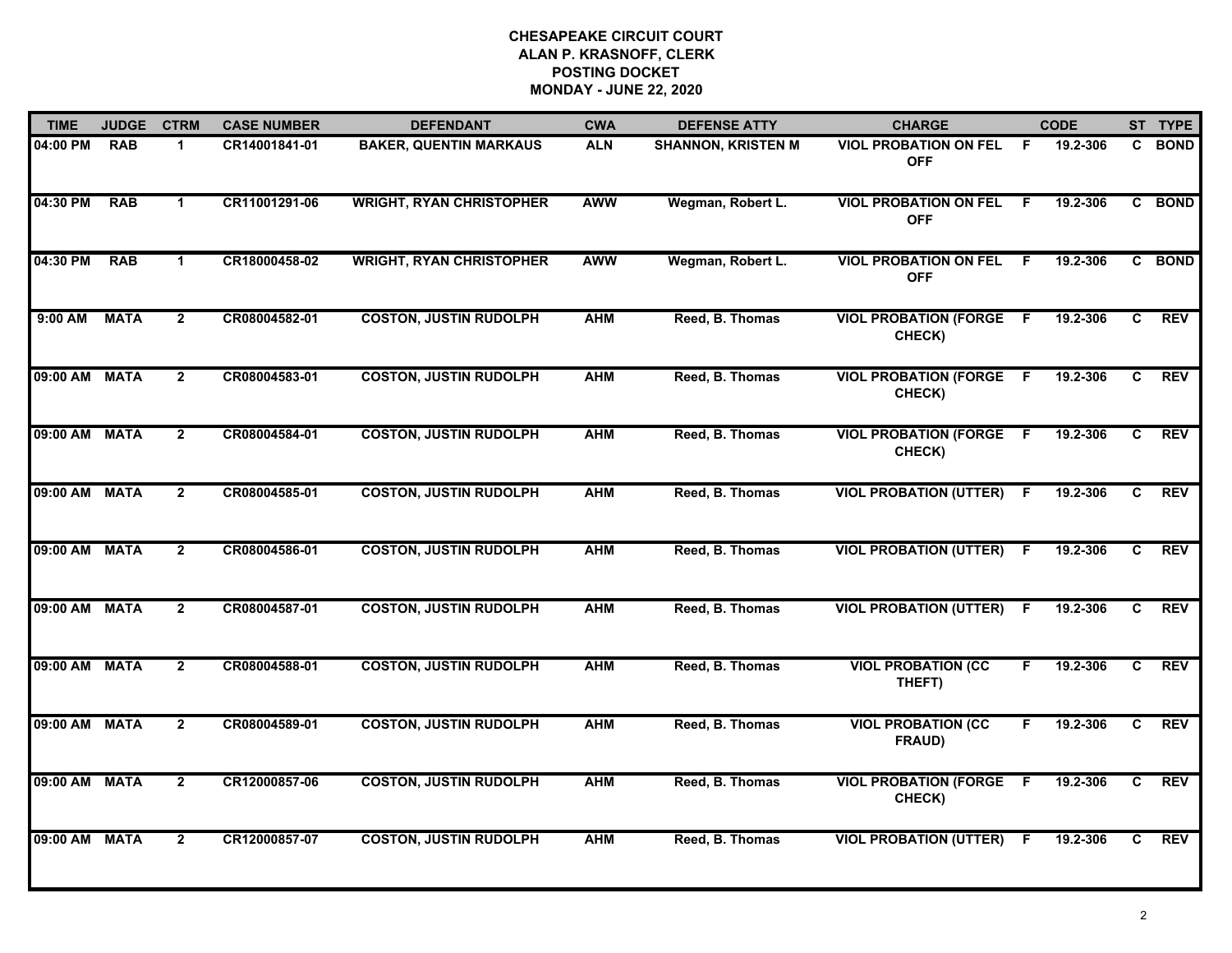| <b>TIME</b>   | <b>JUDGE</b> | <b>CTRM</b>    | <b>CASE NUMBER</b> | <b>DEFENDANT</b>                | <b>CWA</b> | <b>DEFENSE ATTY</b>       | <b>CHARGE</b>                              |     | <b>CODE</b> |    | ST TYPE    |
|---------------|--------------|----------------|--------------------|---------------------------------|------------|---------------------------|--------------------------------------------|-----|-------------|----|------------|
| 04:00 PM      | <b>RAB</b>   | 1              | CR14001841-01      | <b>BAKER, QUENTIN MARKAUS</b>   | <b>ALN</b> | <b>SHANNON, KRISTEN M</b> | <b>VIOL PROBATION ON FEL</b><br><b>OFF</b> | -F  | 19.2-306    |    | C BOND     |
| 04:30 PM      | <b>RAB</b>   | $\mathbf{1}$   | CR11001291-06      | <b>WRIGHT, RYAN CHRISTOPHER</b> | <b>AWW</b> | Wegman, Robert L.         | <b>VIOL PROBATION ON FEL</b><br><b>OFF</b> | F.  | 19.2-306    |    | C BOND     |
| 04:30 PM      | <b>RAB</b>   | $\mathbf{1}$   | CR18000458-02      | <b>WRIGHT, RYAN CHRISTOPHER</b> | <b>AWW</b> | Wegman, Robert L.         | <b>VIOL PROBATION ON FEL</b><br><b>OFF</b> | E   | 19.2-306    |    | C BOND     |
| 9:00 AM       | <b>MATA</b>  | $\mathbf{2}$   | CR08004582-01      | <b>COSTON, JUSTIN RUDOLPH</b>   | <b>AHM</b> | Reed, B. Thomas           | <b>VIOL PROBATION (FORGE</b><br>CHECK)     | - F | 19.2-306    | C  | <b>REV</b> |
| 09:00 AM MATA |              | $\overline{2}$ | CR08004583-01      | <b>COSTON, JUSTIN RUDOLPH</b>   | <b>AHM</b> | Reed, B. Thomas           | <b>VIOL PROBATION (FORGE</b><br>CHECK)     | -F  | 19.2-306    | C. | <b>REV</b> |
| 09:00 AM MATA |              | $\mathbf{2}$   | CR08004584-01      | <b>COSTON, JUSTIN RUDOLPH</b>   | <b>AHM</b> | Reed, B. Thomas           | <b>VIOL PROBATION (FORGE F</b><br>CHECK)   |     | 19.2-306    | C  | <b>REV</b> |
| 09:00 AM MATA |              | $\mathbf{2}$   | CR08004585-01      | <b>COSTON, JUSTIN RUDOLPH</b>   | <b>AHM</b> | Reed, B. Thomas           | <b>VIOL PROBATION (UTTER)</b>              | -F  | 19.2-306    | C  | <b>REV</b> |
| 09:00 AM MATA |              | $\mathbf{2}$   | CR08004586-01      | <b>COSTON, JUSTIN RUDOLPH</b>   | <b>AHM</b> | Reed, B. Thomas           | <b>VIOL PROBATION (UTTER)</b>              | F   | 19.2-306    | C  | <b>REV</b> |
| 09:00 AM MATA |              | $\mathbf{2}$   | CR08004587-01      | <b>COSTON, JUSTIN RUDOLPH</b>   | <b>AHM</b> | Reed, B. Thomas           | <b>VIOL PROBATION (UTTER)</b>              | F   | 19.2-306    | C  | <b>REV</b> |
| 09:00 AM MATA |              | $\overline{2}$ | CR08004588-01      | <b>COSTON, JUSTIN RUDOLPH</b>   | <b>AHM</b> | Reed, B. Thomas           | <b>VIOL PROBATION (CC</b><br>THEFT)        | F.  | 19.2-306    | C  | <b>REV</b> |
| 09:00 AM MATA |              | $\mathbf{2}$   | CR08004589-01      | <b>COSTON, JUSTIN RUDOLPH</b>   | <b>AHM</b> | Reed, B. Thomas           | <b>VIOL PROBATION (CC</b><br>FRAUD)        | F.  | 19.2-306    | C  | <b>REV</b> |
| 09:00 AM MATA |              | $\overline{2}$ | CR12000857-06      | <b>COSTON, JUSTIN RUDOLPH</b>   | <b>AHM</b> | Reed, B. Thomas           | <b>VIOL PROBATION (FORGE</b><br>CHECK)     | -F  | 19.2-306    | C  | <b>REV</b> |
| 09:00 AM MATA |              | $\overline{2}$ | CR12000857-07      | <b>COSTON, JUSTIN RUDOLPH</b>   | <b>AHM</b> | Reed, B. Thomas           | <b>VIOL PROBATION (UTTER)</b>              | F   | 19.2-306    | C  | <b>REV</b> |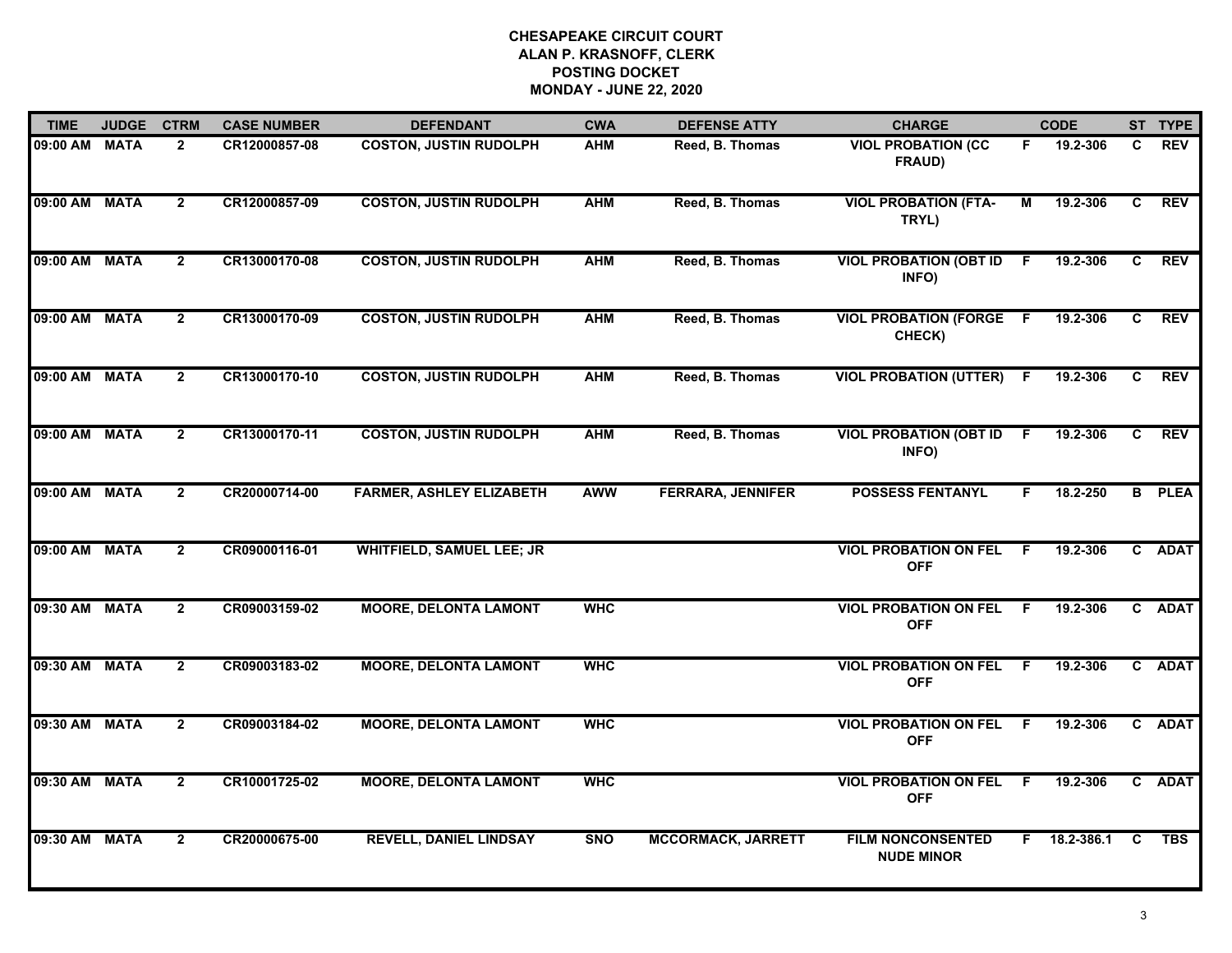| <b>TIME</b>   | <b>JUDGE</b> | <b>CTRM</b>    | <b>CASE NUMBER</b> | <b>DEFENDANT</b>                 | <b>CWA</b> | <b>DEFENSE ATTY</b>       | <b>CHARGE</b>                                 |     | <b>CODE</b> |              | ST TYPE       |
|---------------|--------------|----------------|--------------------|----------------------------------|------------|---------------------------|-----------------------------------------------|-----|-------------|--------------|---------------|
| 09:00 AM MATA |              | $\mathbf{2}$   | CR12000857-08      | <b>COSTON, JUSTIN RUDOLPH</b>    | <b>AHM</b> | Reed, B. Thomas           | <b>VIOL PROBATION (CC)</b><br>FRAUD)          | F.  | 19.2-306    | C.           | <b>REV</b>    |
| 09:00 AM MATA |              | $\overline{2}$ | CR12000857-09      | <b>COSTON, JUSTIN RUDOLPH</b>    | <b>AHM</b> | Reed, B. Thomas           | <b>VIOL PROBATION (FTA-</b><br>TRYL)          | М   | 19.2-306    | C.           | <b>REV</b>    |
| 09:00 AM MATA |              | $\mathbf{2}$   | CR13000170-08      | <b>COSTON, JUSTIN RUDOLPH</b>    | <b>AHM</b> | Reed, B. Thomas           | <b>VIOL PROBATION (OBT ID)</b><br>INFO)       | - F | 19.2-306    | C            | <b>REV</b>    |
| 09:00 AM MATA |              | $\mathbf{2}$   | CR13000170-09      | <b>COSTON, JUSTIN RUDOLPH</b>    | <b>AHM</b> | Reed, B. Thomas           | <b>VIOL PROBATION (FORGE F</b><br>CHECK)      |     | 19.2-306    | C            | <b>REV</b>    |
| 09:00 AM MATA |              | $\overline{2}$ | CR13000170-10      | <b>COSTON, JUSTIN RUDOLPH</b>    | <b>AHM</b> | Reed, B. Thomas           | <b>VIOL PROBATION (UTTER)</b>                 | -F  | 19.2-306    | C            | <b>REV</b>    |
| 09:00 AM MATA |              | $\mathbf{2}$   | CR13000170-11      | <b>COSTON, JUSTIN RUDOLPH</b>    | <b>AHM</b> | Reed, B. Thomas           | <b>VIOL PROBATION (OBT ID</b><br>INFO)        | -F  | 19.2-306    | C            | <b>REV</b>    |
| 09:00 AM MATA |              | $\mathbf{2}$   | CR20000714-00      | <b>FARMER, ASHLEY ELIZABETH</b>  | <b>AWW</b> | <b>FERRARA, JENNIFER</b>  | <b>POSSESS FENTANYL</b>                       | F.  | 18.2-250    |              | <b>B</b> PLEA |
| 09:00 AM MATA |              | $\mathbf{2}$   | CR09000116-01      | <b>WHITFIELD, SAMUEL LEE; JR</b> |            |                           | <b>VIOL PROBATION ON FEL</b><br><b>OFF</b>    | F.  | 19.2-306    |              | C ADAT        |
| 09:30 AM MATA |              | $\overline{2}$ | CR09003159-02      | <b>MOORE, DELONTA LAMONT</b>     | <b>WHC</b> |                           | <b>VIOL PROBATION ON FEL</b><br><b>OFF</b>    | -F  | 19.2-306    | $\mathbf{c}$ | <b>ADAT</b>   |
| 09:30 AM MATA |              | $\overline{2}$ | CR09003183-02      | <b>MOORE, DELONTA LAMONT</b>     | <b>WHC</b> |                           | <b>VIOL PROBATION ON FEL</b><br><b>OFF</b>    | - F | 19.2-306    |              | C ADAT        |
| 09:30 AM MATA |              | $\mathbf{2}$   | CR09003184-02      | <b>MOORE, DELONTA LAMONT</b>     | <b>WHC</b> |                           | <b>VIOL PROBATION ON FEL F</b><br><b>OFF</b>  |     | 19.2-306    |              | C ADAT        |
| 09:30 AM MATA |              | $\overline{2}$ | CR10001725-02      | <b>MOORE, DELONTA LAMONT</b>     | <b>WHC</b> |                           | <b>VIOL PROBATION ON FEL</b><br><b>OFF</b>    | F.  | 19.2-306    |              | C ADAT        |
| 09:30 AM MATA |              | $\mathbf{2}$   | CR20000675-00      | <b>REVELL, DANIEL LINDSAY</b>    | <b>SNO</b> | <b>MCCORMACK, JARRETT</b> | <b>FILM NONCONSENTED</b><br><b>NUDE MINOR</b> | F.  | 18.2-386.1  | C            | <b>TBS</b>    |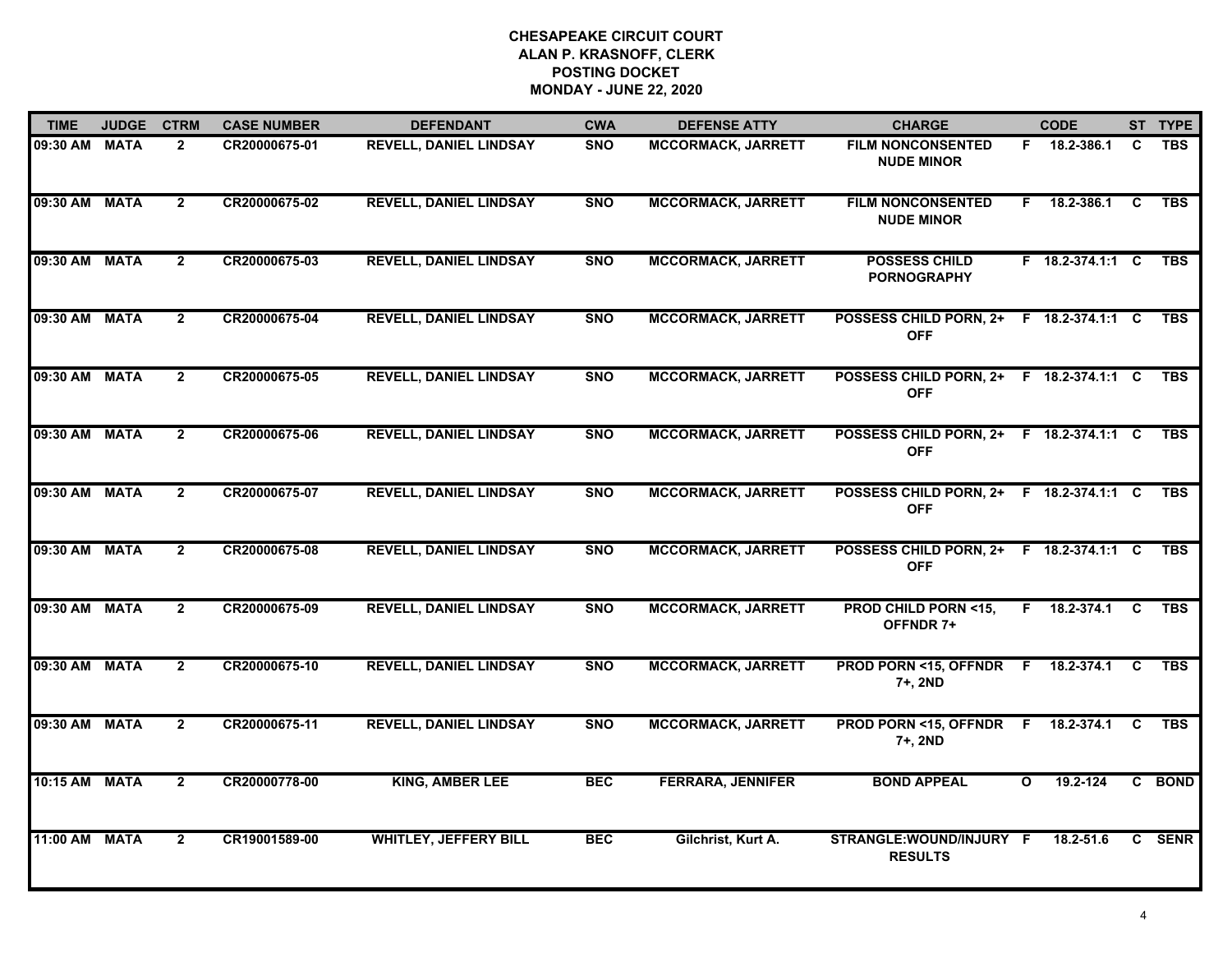| <b>TIME</b>   | <b>JUDGE</b> | <b>CTRM</b>    | <b>CASE NUMBER</b> | <b>DEFENDANT</b>              | <b>CWA</b> | <b>DEFENSE ATTY</b>       | <b>CHARGE</b>                                         |              | <b>CODE</b>      |          | ST TYPE    |
|---------------|--------------|----------------|--------------------|-------------------------------|------------|---------------------------|-------------------------------------------------------|--------------|------------------|----------|------------|
| 09:30 AM MATA |              | $\mathbf{2}$   | CR20000675-01      | <b>REVELL, DANIEL LINDSAY</b> | <b>SNO</b> | <b>MCCORMACK, JARRETT</b> | <b>FILM NONCONSENTED</b><br><b>NUDE MINOR</b>         |              | F 18.2-386.1     | C        | <b>TBS</b> |
| 09:30 AM MATA |              | $\overline{2}$ | CR20000675-02      | <b>REVELL, DANIEL LINDSAY</b> | <b>SNO</b> | <b>MCCORMACK, JARRETT</b> | <b>FILM NONCONSENTED</b><br><b>NUDE MINOR</b>         | F.           | 18.2-386.1       | C        | <b>TBS</b> |
| 09:30 AM MATA |              | $\overline{2}$ | CR20000675-03      | <b>REVELL, DANIEL LINDSAY</b> | <b>SNO</b> | <b>MCCORMACK, JARRETT</b> | <b>POSSESS CHILD</b><br><b>PORNOGRAPHY</b>            |              | F 18.2-374.1:1 C |          | <b>TBS</b> |
| 09:30 AM MATA |              | $\overline{2}$ | CR20000675-04      | <b>REVELL, DANIEL LINDSAY</b> | <b>SNO</b> | <b>MCCORMACK, JARRETT</b> | <b>POSSESS CHILD PORN, 2+</b><br><b>OFF</b>           |              | F 18.2-374.1:1 C |          | <b>TBS</b> |
| 09:30 AM MATA |              | $\overline{2}$ | CR20000675-05      | <b>REVELL, DANIEL LINDSAY</b> | <b>SNO</b> | <b>MCCORMACK, JARRETT</b> | POSSESS CHILD PORN, 2+ F 18.2-374.1:1 C<br><b>OFF</b> |              |                  |          | <b>TBS</b> |
| 09:30 AM MATA |              | $\mathbf{2}$   | CR20000675-06      | <b>REVELL, DANIEL LINDSAY</b> | <b>SNO</b> | <b>MCCORMACK, JARRETT</b> | POSSESS CHILD PORN, 2+ F 18.2-374.1:1 C<br><b>OFF</b> |              |                  |          | <b>TBS</b> |
| 09:30 AM MATA |              | $\overline{2}$ | CR20000675-07      | <b>REVELL, DANIEL LINDSAY</b> | <b>SNO</b> | <b>MCCORMACK, JARRETT</b> | POSSESS CHILD PORN, 2+ F 18.2-374.1:1 C<br><b>OFF</b> |              |                  |          | <b>TBS</b> |
| 09:30 AM MATA |              | $\overline{2}$ | CR20000675-08      | <b>REVELL, DANIEL LINDSAY</b> | <b>SNO</b> | <b>MCCORMACK, JARRETT</b> | POSSESS CHILD PORN, 2+ F 18.2-374.1:1 C<br><b>OFF</b> |              |                  |          | <b>TBS</b> |
| 09:30 AM MATA |              | $\overline{2}$ | CR20000675-09      | <b>REVELL, DANIEL LINDSAY</b> | <b>SNO</b> | <b>MCCORMACK, JARRETT</b> | <b>PROD CHILD PORN &lt;15,</b><br>OFFNDR 7+           | F.           | 18.2-374.1       | <b>C</b> | <b>TBS</b> |
| 09:30 AM MATA |              | $\mathbf{2}$   | CR20000675-10      | <b>REVELL, DANIEL LINDSAY</b> | <b>SNO</b> | <b>MCCORMACK, JARRETT</b> | PROD PORN <15, OFFNDR F<br>7+, 2ND                    |              | 18.2-374.1       | C        | <b>TBS</b> |
| 09:30 AM MATA |              | $\mathbf{2}$   | CR20000675-11      | <b>REVELL, DANIEL LINDSAY</b> | <b>SNO</b> | <b>MCCORMACK, JARRETT</b> | <b>PROD PORN &lt;15, OFFNDR F</b><br>7+, 2ND          |              | 18.2-374.1       | C        | <b>TBS</b> |
| 10:15 AM MATA |              | $\mathbf{2}$   | CR20000778-00      | <b>KING, AMBER LEE</b>        | <b>BEC</b> | <b>FERRARA, JENNIFER</b>  | <b>BOND APPEAL</b>                                    | $\mathbf{o}$ | 19.2-124         |          | C BOND     |
| 11:00 AM MATA |              | $\mathbf{2}$   | CR19001589-00      | <b>WHITLEY, JEFFERY BILL</b>  | <b>BEC</b> | Gilchrist, Kurt A.        | STRANGLE:WOUND/INJURY F<br><b>RESULTS</b>             |              | 18.2-51.6        |          | C SENR     |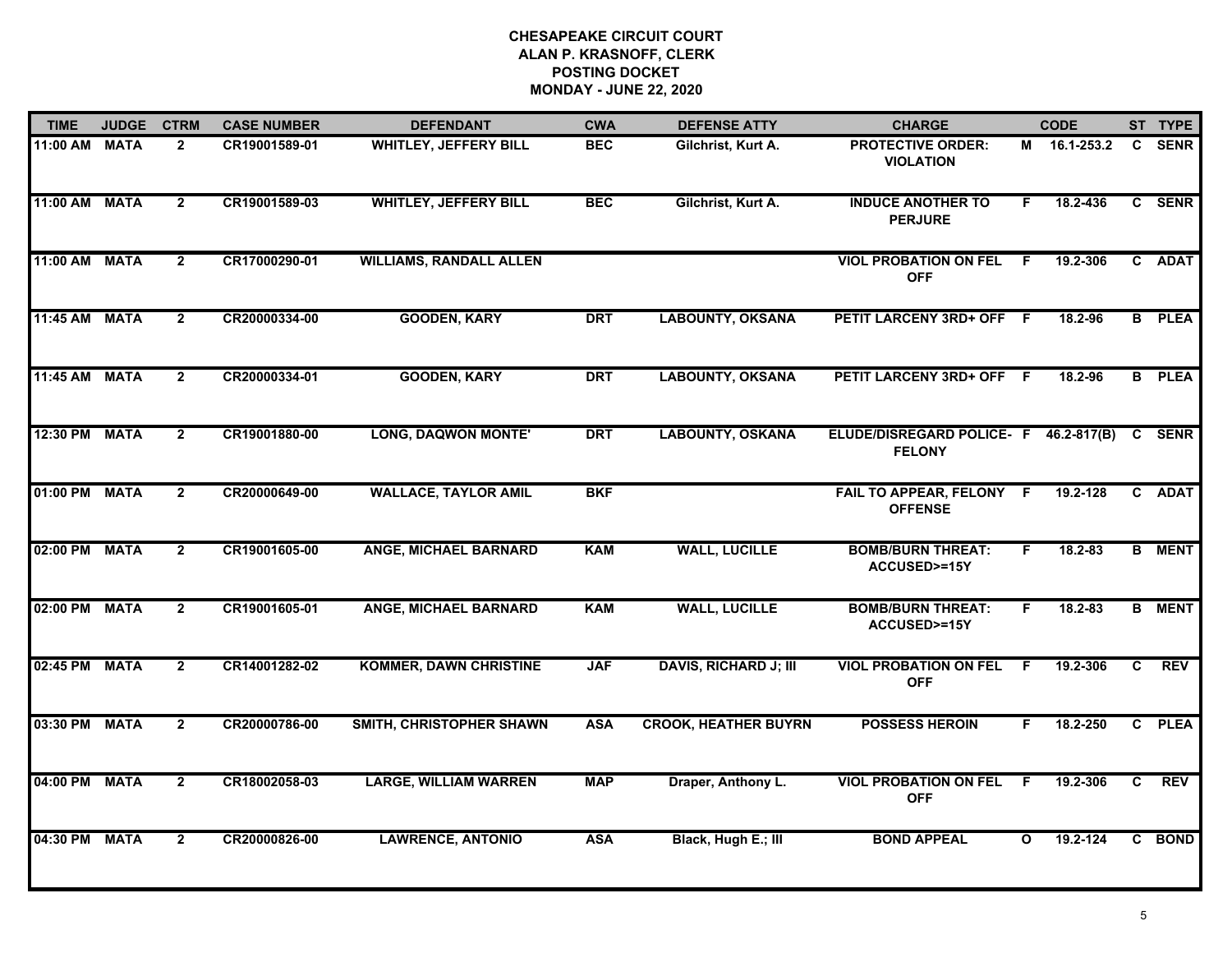| <b>TIME</b>   | <b>JUDGE</b> | <b>CTRM</b>    | <b>CASE NUMBER</b> | <b>DEFENDANT</b>               | <b>CWA</b> | <b>DEFENSE ATTY</b>          | <b>CHARGE</b>                                                 |              | <b>CODE</b>  |                | ST TYPE       |
|---------------|--------------|----------------|--------------------|--------------------------------|------------|------------------------------|---------------------------------------------------------------|--------------|--------------|----------------|---------------|
| 11:00 AM MATA |              | $\mathbf{2}$   | CR19001589-01      | <b>WHITLEY, JEFFERY BILL</b>   | <b>BEC</b> | Gilchrist, Kurt A.           | <b>PROTECTIVE ORDER:</b><br><b>VIOLATION</b>                  |              | M 16.1-253.2 | $\mathbf{C}$   | <b>SENR</b>   |
| 11:00 AM MATA |              | $\overline{2}$ | CR19001589-03      | <b>WHITLEY, JEFFERY BILL</b>   | <b>BEC</b> | Gilchrist, Kurt A.           | <b>INDUCE ANOTHER TO</b><br><b>PERJURE</b>                    | F.           | 18.2-436     |                | C SENR        |
| 11:00 AM MATA |              | $\overline{2}$ | CR17000290-01      | <b>WILLIAMS, RANDALL ALLEN</b> |            |                              | <b>VIOL PROBATION ON FEL</b><br><b>OFF</b>                    | F            | 19.2-306     |                | C ADAT        |
| 11:45 AM MATA |              | $\overline{2}$ | CR20000334-00      | <b>GOODEN, KARY</b>            | <b>DRT</b> | <b>LABOUNTY, OKSANA</b>      | PETIT LARCENY 3RD+ OFF F                                      |              | 18.2-96      |                | <b>B</b> PLEA |
| 11:45 AM MATA |              | $\overline{2}$ | CR20000334-01      | <b>GOODEN, KARY</b>            | <b>DRT</b> | <b>LABOUNTY, OKSANA</b>      | PETIT LARCENY 3RD+ OFF F                                      |              | $18.2 - 96$  |                | <b>B</b> PLEA |
| 12:30 PM MATA |              | $\overline{2}$ | CR19001880-00      | <b>LONG, DAQWON MONTE'</b>     | <b>DRT</b> | <b>LABOUNTY, OSKANA</b>      | ELUDE/DISREGARD POLICE- F 46.2-817(B) C SENR<br><b>FELONY</b> |              |              |                |               |
| 01:00 PM MATA |              | $\overline{2}$ | CR20000649-00      | <b>WALLACE, TAYLOR AMIL</b>    | <b>BKF</b> |                              | FAIL TO APPEAR, FELONY F<br><b>OFFENSE</b>                    |              | 19.2-128     |                | C ADAT        |
| 02:00 PM MATA |              | $\overline{2}$ | CR19001605-00      | <b>ANGE, MICHAEL BARNARD</b>   | <b>KAM</b> | <b>WALL, LUCILLE</b>         | <b>BOMB/BURN THREAT:</b><br><b>ACCUSED&gt;=15Y</b>            | F.           | 18.2-83      |                | <b>B</b> MENT |
| 02:00 PM      | <b>MATA</b>  | $\overline{2}$ | CR19001605-01      | <b>ANGE, MICHAEL BARNARD</b>   | <b>KAM</b> | <b>WALL, LUCILLE</b>         | <b>BOMB/BURN THREAT:</b><br><b>ACCUSED&gt;=15Y</b>            | F            | $18.2 - 83$  |                | <b>B</b> MENT |
| 02:45 PM      | <b>MATA</b>  | $\overline{2}$ | CR14001282-02      | <b>KOMMER, DAWN CHRISTINE</b>  | <b>JAF</b> | <b>DAVIS, RICHARD J; III</b> | <b>VIOL PROBATION ON FEL</b><br><b>OFF</b>                    | - F          | 19.2-306     | C              | <b>REV</b>    |
| 03:30 PM MATA |              | $\overline{2}$ | CR20000786-00      | SMITH, CHRISTOPHER SHAWN       | <b>ASA</b> | <b>CROOK, HEATHER BUYRN</b>  | <b>POSSESS HEROIN</b>                                         | F.           | 18.2-250     |                | C PLEA        |
| 04:00 PM      | <b>MATA</b>  | $\overline{2}$ | CR18002058-03      | <b>LARGE, WILLIAM WARREN</b>   | <b>MAP</b> | Draper, Anthony L.           | <b>VIOL PROBATION ON FEL</b><br><b>OFF</b>                    | F.           | 19.2-306     | $\overline{c}$ | <b>REV</b>    |
| 04:30 PM      | <b>MATA</b>  | $\overline{2}$ | CR20000826-00      | <b>LAWRENCE, ANTONIO</b>       | <b>ASA</b> | Black, Hugh E.; III          | <b>BOND APPEAL</b>                                            | $\mathbf{o}$ | 19.2-124     |                | C BOND        |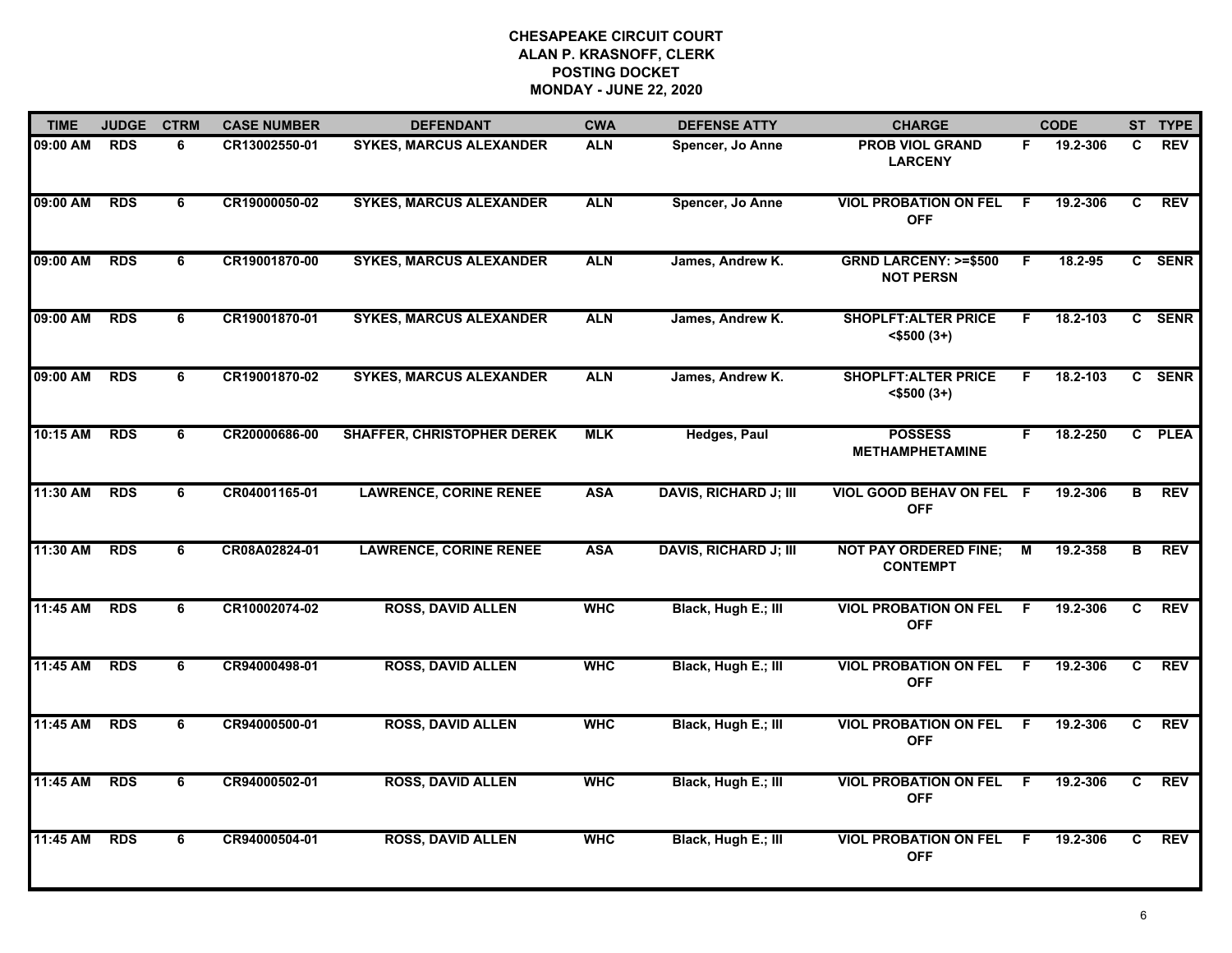| <b>TIME</b> | <b>JUDGE</b> | <b>CTRM</b>    | <b>CASE NUMBER</b> | <b>DEFENDANT</b>                  | <b>CWA</b> | <b>DEFENSE ATTY</b>          | <b>CHARGE</b>                                       |     | <b>CODE</b> |                | ST TYPE    |
|-------------|--------------|----------------|--------------------|-----------------------------------|------------|------------------------------|-----------------------------------------------------|-----|-------------|----------------|------------|
| 09:00 AM    | <b>RDS</b>   | 6              | CR13002550-01      | <b>SYKES, MARCUS ALEXANDER</b>    | <b>ALN</b> | Spencer, Jo Anne             | <b>PROB VIOL GRAND</b><br><b>LARCENY</b>            | F.  | 19.2-306    | C.             | <b>REV</b> |
| 09:00 AM    | <b>RDS</b>   | $\overline{6}$ | CR19000050-02      | <b>SYKES, MARCUS ALEXANDER</b>    | <b>ALN</b> | Spencer, Jo Anne             | <b>VIOL PROBATION ON FEL</b><br><b>OFF</b>          | F.  | 19.2-306    | C              | <b>REV</b> |
| 09:00 AM    | <b>RDS</b>   | 6              | CR19001870-00      | <b>SYKES, MARCUS ALEXANDER</b>    | <b>ALN</b> | James, Andrew K.             | <b>GRND LARCENY: &gt;=\$500</b><br><b>NOT PERSN</b> | F.  | 18.2-95     |                | C SENR     |
| 09:00 AM    | <b>RDS</b>   | 6              | CR19001870-01      | <b>SYKES, MARCUS ALEXANDER</b>    | <b>ALN</b> | James, Andrew K.             | <b>SHOPLFT: ALTER PRICE</b><br><\$500 (3+)          | F.  | 18.2-103    |                | C SENR     |
| 09:00 AM    | <b>RDS</b>   | 6              | CR19001870-02      | <b>SYKES, MARCUS ALEXANDER</b>    | <b>ALN</b> | James, Andrew K.             | <b>SHOPLFT: ALTER PRICE</b><br>$<$ \$500 $(3+)$     | F.  | 18.2-103    |                | C SENR     |
| 10:15 AM    | <b>RDS</b>   | 6              | CR20000686-00      | <b>SHAFFER, CHRISTOPHER DEREK</b> | <b>MLK</b> | <b>Hedges, Paul</b>          | <b>POSSESS</b><br><b>METHAMPHETAMINE</b>            | F.  | 18.2-250    |                | C PLEA     |
| 11:30 AM    | <b>RDS</b>   | 6              | CR04001165-01      | <b>LAWRENCE, CORINE RENEE</b>     | <b>ASA</b> | <b>DAVIS, RICHARD J; III</b> | VIOL GOOD BEHAV ON FEL F<br><b>OFF</b>              |     | 19.2-306    | $\overline{B}$ | <b>REV</b> |
| 11:30 AM    | <b>RDS</b>   | 6              | CR08A02824-01      | <b>LAWRENCE, CORINE RENEE</b>     | <b>ASA</b> | <b>DAVIS, RICHARD J; III</b> | <b>NOT PAY ORDERED FINE;</b><br><b>CONTEMPT</b>     | М   | 19.2-358    | в              | <b>REV</b> |
| 11:45 AM    | <b>RDS</b>   | 6              | CR10002074-02      | <b>ROSS, DAVID ALLEN</b>          | <b>WHC</b> | Black, Hugh E.; III          | <b>VIOL PROBATION ON FEL</b><br><b>OFF</b>          | F   | 19.2-306    | C              | <b>REV</b> |
| 11:45 AM    | <b>RDS</b>   | 6              | CR94000498-01      | <b>ROSS, DAVID ALLEN</b>          | <b>WHC</b> | Black, Hugh E.; III          | <b>VIOL PROBATION ON FEL</b><br><b>OFF</b>          | - F | 19.2-306    | C              | <b>REV</b> |
| 11:45 AM    | <b>RDS</b>   | 6              | CR94000500-01      | <b>ROSS, DAVID ALLEN</b>          | <b>WHC</b> | Black, Hugh E.; III          | <b>VIOL PROBATION ON FEL F</b><br><b>OFF</b>        |     | 19.2-306    | $\overline{c}$ | <b>REV</b> |
| 11:45 AM    | <b>RDS</b>   | $\overline{6}$ | CR94000502-01      | <b>ROSS, DAVID ALLEN</b>          | <b>WHC</b> | Black, Hugh E.; III          | <b>VIOL PROBATION ON FEL</b><br><b>OFF</b>          | F.  | 19.2-306    | $\overline{c}$ | <b>REV</b> |
| 11:45 AM    | <b>RDS</b>   | 6              | CR94000504-01      | <b>ROSS, DAVID ALLEN</b>          | <b>WHC</b> | Black, Hugh E.; III          | <b>VIOL PROBATION ON FEL</b><br><b>OFF</b>          | F.  | 19.2-306    | C.             | <b>REV</b> |